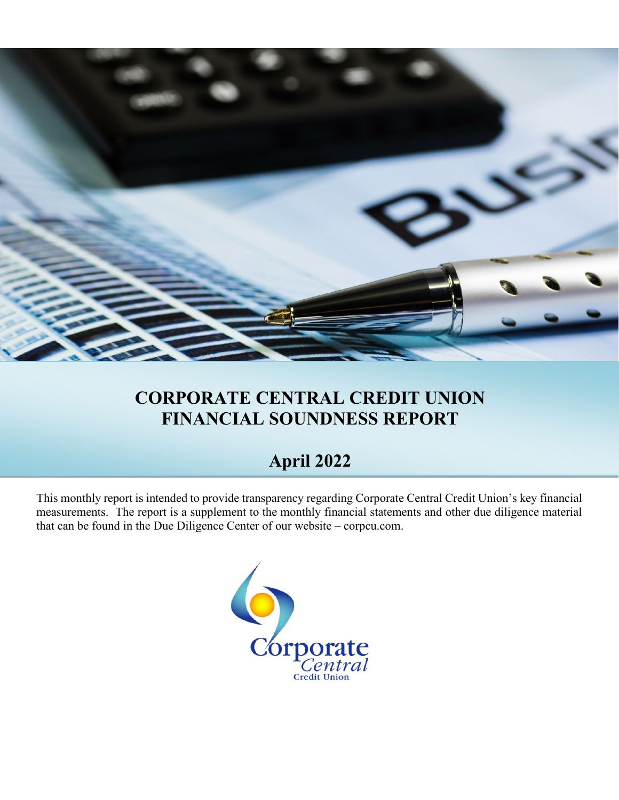

# **CORPORATE CENTRAL CREDIT UNION FINANCIAL SOUNDNESS REPORT**

## **April 2022**

This monthly report is intended to provide transparency regarding Corporate Central Credit Union's key financial measurements. The report is a supplement to the monthly financial statements and other due diligence material that can be found in the Due Diligence Center of our website – corpcu.com.

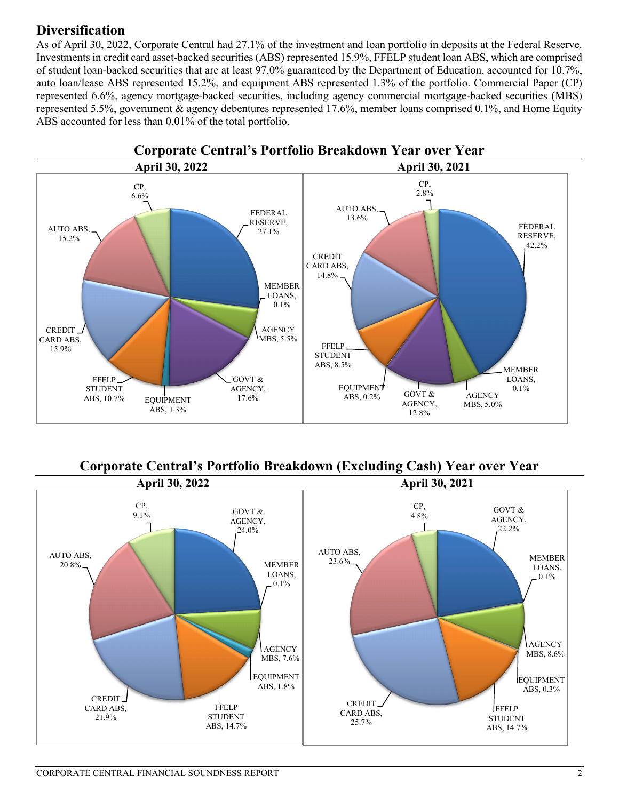## **Diversification**

As of April 30, 2022, Corporate Central had 27.1% of the investment and loan portfolio in deposits at the Federal Reserve. Investments in credit card asset-backed securities (ABS) represented 15.9%, FFELP student loan ABS, which are comprised of student loan-backed securities that are at least 97.0% guaranteed by the Department of Education, accounted for 10.7%, auto loan/lease ABS represented 15.2%, and equipment ABS represented 1.3% of the portfolio. Commercial Paper (CP) represented 6.6%, agency mortgage-backed securities, including agency commercial mortgage-backed securities (MBS) represented 5.5%, government & agency debentures represented 17.6%, member loans comprised 0.1%, and Home Equity ABS accounted for less than 0.01% of the total portfolio.



# **Corporate Central's Portfolio Breakdown (Excluding Cash) Year over Year**

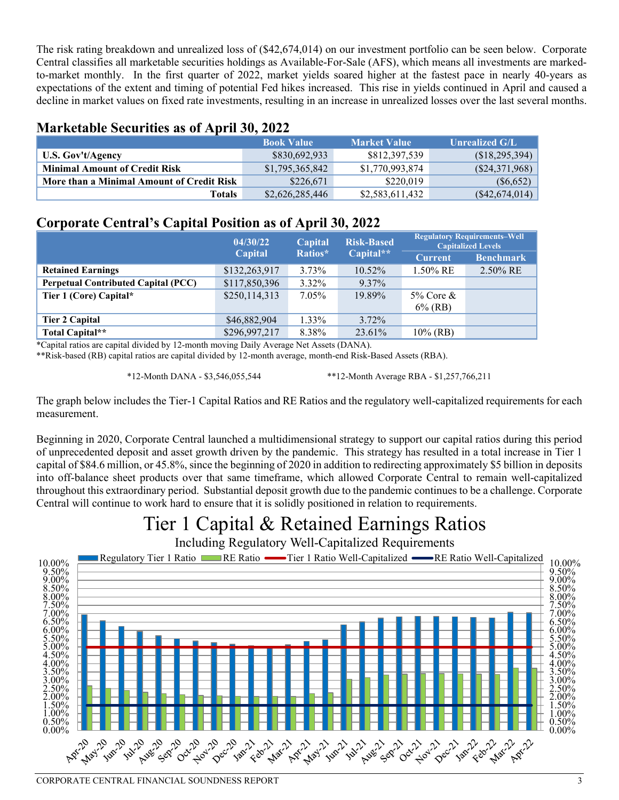The risk rating breakdown and unrealized loss of (\$42,674,014) on our investment portfolio can be seen below. Corporate Central classifies all marketable securities holdings as Available-For-Sale (AFS), which means all investments are markedto-market monthly. In the first quarter of 2022, market yields soared higher at the fastest pace in nearly 40-years as expectations of the extent and timing of potential Fed hikes increased. This rise in yields continued in April and caused a decline in market values on fixed rate investments, resulting in an increase in unrealized losses over the last several months.

#### **Marketable Securities as of April 30, 2022**

|                                           | <b>Book Value</b> | <b>Market Value</b> | <b>Unrealized G/L</b> |
|-------------------------------------------|-------------------|---------------------|-----------------------|
| U.S. Gov't/Agency                         | \$830,692,933     | \$812,397,539       | (S18, 295, 394)       |
| <b>Minimal Amount of Credit Risk</b>      | \$1,795,365,842   | \$1,770,993,874     | (S24, 371, 968)       |
| More than a Minimal Amount of Credit Risk | \$226,671         | \$220,019           | (S6, 652)             |
| <b>Totals</b>                             | \$2,626,285,446   | \$2,583,611,432     | $(*42,674,014)$       |

### **Corporate Central's Capital Position as of April 30, 2022**

|                                            | 04/30/22<br>Capital |          | <b>Risk-Based</b> | <b>Regulatory Requirements-Well</b><br><b>Capitalized Levels</b> |                  |
|--------------------------------------------|---------------------|----------|-------------------|------------------------------------------------------------------|------------------|
|                                            | Capital             | Ratios*  | Capital**         | <b>Current</b>                                                   | <b>Benchmark</b> |
| <b>Retained Earnings</b>                   | \$132,263,917       | $3.73\%$ | $10.52\%$         | $1.50\%$ RE                                                      | $2.50\%$ RE      |
| <b>Perpetual Contributed Capital (PCC)</b> | \$117,850,396       | 3.32%    | 9.37%             |                                                                  |                  |
| Tier 1 (Core) Capital*                     | \$250,114,313       | 7.05%    | 19.89%            | $5\%$ Core &                                                     |                  |
|                                            |                     |          |                   | $6\%$ (RB)                                                       |                  |
| <b>Tier 2 Capital</b>                      | \$46,882,904        | $1.33\%$ | $3.72\%$          |                                                                  |                  |
| Total Capital**                            | \$296,997,217       | 8.38%    | 23.61%            | $10\%$ (RB)                                                      |                  |

\*Capital ratios are capital divided by 12-month moving Daily Average Net Assets (DANA).

\*\*Risk-based (RB) capital ratios are capital divided by 12-month average, month-end Risk-Based Assets (RBA).

\*12-Month DANA - \$3,546,055,544 \*\*12-Month Average RBA - \$1,257,766,211

The graph below includes the Tier-1 Capital Ratios and RE Ratios and the regulatory well-capitalized requirements for each measurement.

Beginning in 2020, Corporate Central launched a multidimensional strategy to support our capital ratios during this period of unprecedented deposit and asset growth driven by the pandemic. This strategy has resulted in a total increase in Tier 1 capital of \$84.6 million, or 45.8%, since the beginning of 2020 in addition to redirecting approximately \$5 billion in deposits into off-balance sheet products over that same timeframe, which allowed Corporate Central to remain well-capitalized throughout this extraordinary period. Substantial deposit growth due to the pandemic continues to be a challenge. Corporate Central will continue to work hard to ensure that it is solidly positioned in relation to requirements.

# Tier 1 Capital & Retained Earnings Ratios

Including Regulatory Well-Capitalized Requirements